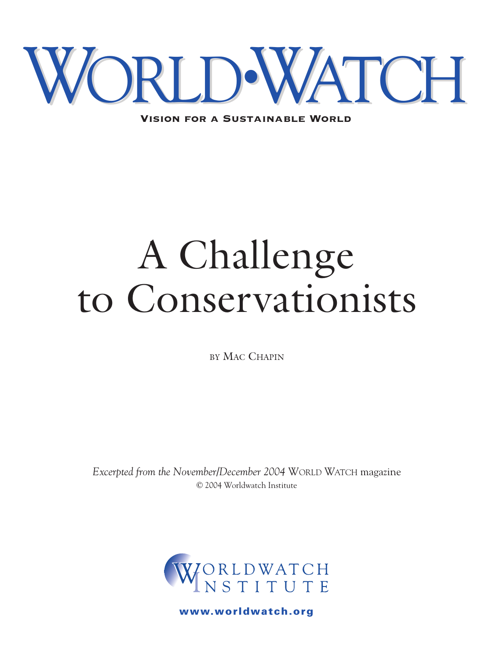

**Vision for a Sustainable World**

# A Challenge to Conservationists

BY MAC CHAPIN

*Excerpted from the November/December 2004* WORLD WATCH magazine © 2004 Worldwatch Institute



**www.worldwatch.org**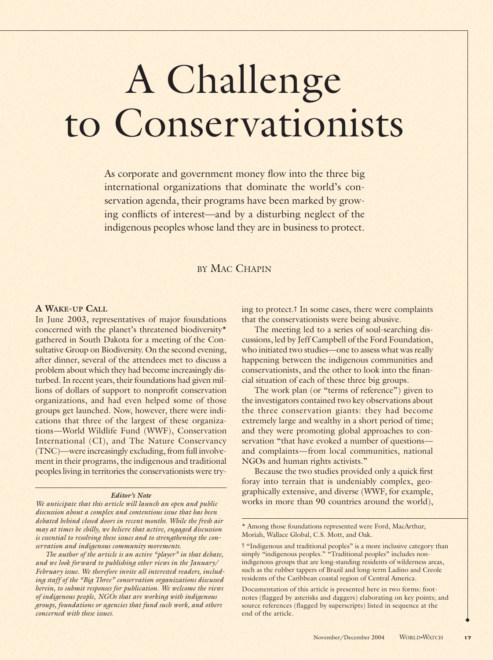# A Challenge to Conservationists

As corporate and government money flow into the three big international organizations that dominate the world's conservation agenda, their programs have been marked by growing conflicts of interest—and by a disturbing neglect of the indigenous peoples whose land they are in business to protect.

### BY MAC CHAPIN

### **A WAKE-UP CALL**

In June 2003, representatives of major foundations concerned with the planet's threatened biodiversity\* gathered in South Dakota for a meeting of the Consultative Group on Biodiversity. On the second evening, after dinner, several of the attendees met to discuss a problem about which they had become increasingly disturbed. In recent years, their foundations had given millions of dollars of support to nonprofit conservation organizations, and had even helped some of those groups get launched. Now, however, there were indications that three of the largest of these organizations—World Wildlife Fund (WWF), Conservation International (CI), and The Nature Conservancy (TNC)—were increasingly excluding, from full involvement in their programs, the indigenous and traditional peoples living in territories the conservationists were try-

#### *Editor's Note*

*We anticipate that this article will launch an open and public discussion about a complex and contentious issue that has been debated behind closed doors in recent months. While the fresh air may at times be chilly, we believe that active, engaged discussion is essential to resolving these issues and to strengthening the conservation and indigenous community movements.*

*The author of the article is an active "player" in that debate, and we look forward to publishing other views in the January/ February issue. We therefore invite all interested readers, including staff of the "Big Three" conservation organizations discussed herein, to submit responses for publication. We welcome the views of indigenous people, NGOs that are working with indigenous groups, foundations or agencies that fund such work, and others concerned with these issues.*

ing to protect.† In some cases, there were complaints that the conservationists were being abusive.

The meeting led to a series of soul-searching discussions, led by Jeff Campbell of the Ford Foundation, who initiated two studies—one to assess what was really happening between the indigenous communities and conservationists, and the other to look into the financial situation of each of these three big groups.

The work plan (or "terms of reference") given to the investigators contained two key observations about the three conservation giants: they had become extremely large and wealthy in a short period of time; and they were promoting global approaches to conservation "that have evoked a number of questions and complaints—from local communities, national NGOs and human rights activists."

Because the two studies provided only a quick first foray into terrain that is undeniably complex, geographically extensive, and diverse (WWF, for example, works in more than 90 countries around the world),

<sup>\*</sup> Among those foundations represented were Ford, MacArthur, Moriah, Wallace Global, C.S. Mott, and Oak.

<sup>†</sup> "Indigenous and traditional peoples" is a more inclusive category than simply "indigenous peoples." "Traditional peoples" includes nonindigenous groups that are long-standing residents of wilderness areas, such as the rubber tappers of Brazil and long-term Ladino and Creole residents of the Caribbean coastal region of Central America.

Documentation of this article is presented here in two forms: footnotes (flagged by asterisks and daggers) elaborating on key points; and source references (flagged by superscripts) listed in sequence at the end of the article.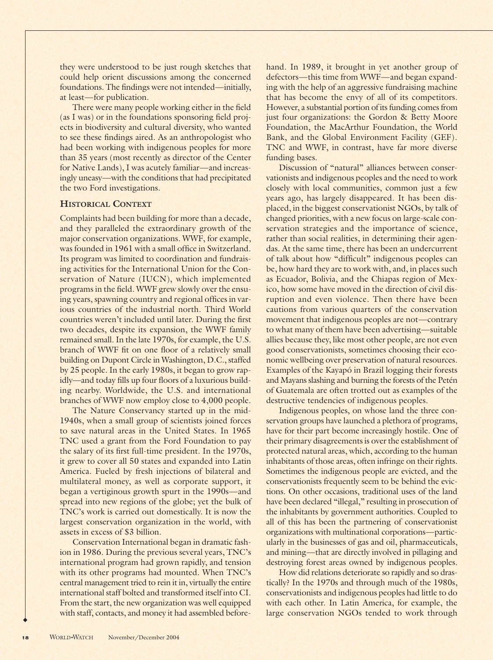they were understood to be just rough sketches that could help orient discussions among the concerned foundations. The findings were not intended—initially, at least—for publication.

There were many people working either in the field (as I was) or in the foundations sponsoring field projects in biodiversity and cultural diversity, who wanted to see these findings aired. As an anthropologist who had been working with indigenous peoples for more than 35 years (most recently as director of the Center for Native Lands), I was acutely familiar—and increasingly uneasy—with the conditions that had precipitated the two Ford investigations.

#### **HISTORICAL CONTEXT**

Complaints had been building for more than a decade, and they paralleled the extraordinary growth of the major conservation organizations. WWF, for example, was founded in 1961 with a small office in Switzerland. Its program was limited to coordination and fundraising activities for the International Union for the Conservation of Nature (IUCN), which implemented programs in the field. WWF grew slowly over the ensuing years, spawning country and regional offices in various countries of the industrial north. Third World countries weren't included until later. During the first two decades, despite its expansion, the WWF family remained small. In the late 1970s, for example, the U.S. branch of WWF fit on one floor of a relatively small building on Dupont Circle in Washington, D.C., staffed by 25 people. In the early 1980s, it began to grow rapidly—and today fills up four floors of a luxurious building nearby. Worldwide, the U.S. and international branches of WWF now employ close to 4,000 people.

The Nature Conservancy started up in the mid-1940s, when a small group of scientists joined forces to save natural areas in the United States. In 1965 TNC used a grant from the Ford Foundation to pay the salary of its first full-time president. In the 1970s, it grew to cover all 50 states and expanded into Latin America. Fueled by fresh injections of bilateral and multilateral money, as well as corporate support, it began a vertiginous growth spurt in the 1990s—and spread into new regions of the globe; yet the bulk of TNC's work is carried out domestically. It is now the largest conservation organization in the world, with assets in excess of \$3 billion.

Conservation International began in dramatic fashion in 1986. During the previous several years, TNC's international program had grown rapidly, and tension with its other programs had mounted. When TNC's central management tried to rein it in, virtually the entire international staff bolted and transformed itself into CI. From the start, the new organization was well equipped with staff, contacts, and money it had assembled beforehand. In 1989, it brought in yet another group of defectors—this time from WWF—and began expanding with the help of an aggressive fundraising machine that has become the envy of all of its competitors. However, a substantial portion of its funding comes from just four organizations: the Gordon & Betty Moore Foundation, the MacArthur Foundation, the World Bank, and the Global Environment Facility (GEF). TNC and WWF, in contrast, have far more diverse funding bases.

Discussion of "natural" alliances between conservationists and indigenous peoples and the need to work closely with local communities, common just a few years ago, has largely disappeared. It has been displaced, in the biggest conservationist NGOs, by talk of changed priorities, with a new focus on large-scale conservation strategies and the importance of science, rather than social realities, in determining their agendas. At the same time, there has been an undercurrent of talk about how "difficult" indigenous peoples can be, how hard they are to work with, and, in places such as Ecuador, Bolivia, and the Chiapas region of Mexico, how some have moved in the direction of civil disruption and even violence. Then there have been cautions from various quarters of the conservation movement that indigenous peoples are not—contrary to what many of them have been advertising—suitable allies because they, like most other people, are not even good conservationists, sometimes choosing their economic wellbeing over preservation of natural resources. Examples of the Kayapó in Brazil logging their forests and Mayans slashing and burning the forests of the Petén of Guatemala are often trotted out as examples of the destructive tendencies of indigenous peoples.

Indigenous peoples, on whose land the three conservation groups have launched a plethora of programs, have for their part become increasingly hostile. One of their primary disagreements is over the establishment of protected natural areas, which, according to the human inhabitants of those areas, often infringe on their rights. Sometimes the indigenous people are evicted, and the conservationists frequently seem to be behind the evictions. On other occasions, traditional uses of the land have been declared "illegal," resulting in prosecution of the inhabitants by government authorities. Coupled to all of this has been the partnering of conservationist organizations with multinational corporations—particularly in the businesses of gas and oil, pharmaceuticals, and mining—that are directly involved in pillaging and destroying forest areas owned by indigenous peoples.

How did relations deteriorate so rapidly and so drastically? In the 1970s and through much of the 1980s, conservationists and indigenous peoples had little to do with each other. In Latin America, for example, the large conservation NGOs tended to work through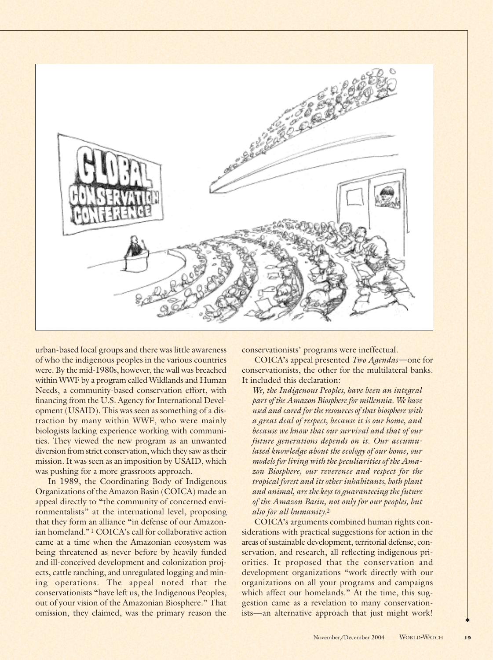

urban-based local groups and there was little awareness of who the indigenous peoples in the various countries were. By the mid-1980s, however, the wall was breached within WWF by a program called Wildlands and Human Needs, a community-based conservation effort, with financing from the U.S. Agency for International Development (USAID). This was seen as something of a distraction by many within WWF, who were mainly biologists lacking experience working with communities. They viewed the new program as an unwanted diversion from strict conservation, which they saw as their mission. It was seen as an imposition by USAID, which was pushing for a more grassroots approach.

In 1989, the Coordinating Body of Indigenous Organizations of the Amazon Basin (COICA) made an appeal directly to "the community of concerned environmentalists" at the international level, proposing that they form an alliance "in defense of our Amazonian homeland."1 COICA's call for collaborative action came at a time when the Amazonian ecosystem was being threatened as never before by heavily funded and ill-conceived development and colonization projects, cattle ranching, and unregulated logging and mining operations. The appeal noted that the conservationists "have left us, the Indigenous Peoples, out of your vision of the Amazonian Biosphere." That omission, they claimed, was the primary reason the

conservationists' programs were ineffectual.

COICA's appeal presented *Two Agendas—*one for conservationists, the other for the multilateral banks. It included this declaration:

*We, the Indigenous Peoples, have been an integral part of the Amazon Biosphere for millennia. We have used and cared for the resources of that biosphere with a great deal of respect, because it is our home, and because we know that our survival and that of our future generations depends on it. Our accumulated knowledge about the ecology of our home, our models for living with the peculiarities of the Amazon Biosphere, our reverence and respect for the tropical forest and its other inhabitants, both plant and animal, are the keys to guaranteeing the future of the Amazon Basin, not only for our peoples, but also for all humanity.*<sup>2</sup>

COICA's arguments combined human rights considerations with practical suggestions for action in the areas of sustainable development, territorial defense, conservation, and research, all reflecting indigenous priorities. It proposed that the conservation and development organizations "work directly with our organizations on all your programs and campaigns which affect our homelands." At the time, this suggestion came as a revelation to many conservationists—an alternative approach that just might work!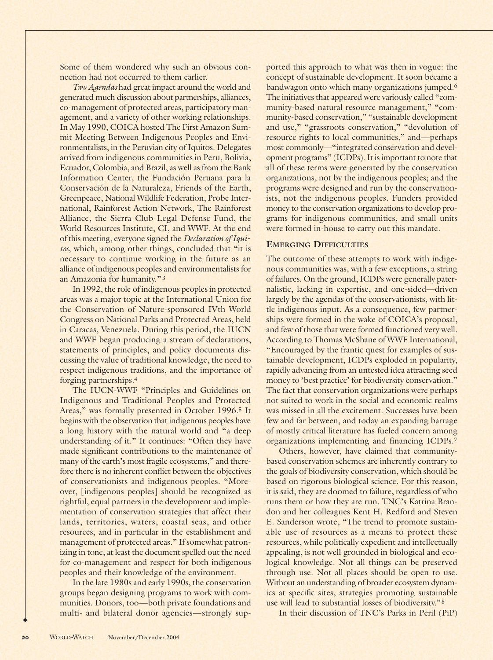Some of them wondered why such an obvious connection had not occurred to them earlier.

*Two Agendas* had great impact around the world and generated much discussion about partnerships, alliances, co-management of protected areas, participatory management, and a variety of other working relationships. In May 1990, COICA hosted The First Amazon Summit Meeting Between Indigenous Peoples and Environmentalists, in the Peruvian city of Iquitos. Delegates arrived from indigenous communities in Peru, Bolivia, Ecuador, Colombia, and Brazil, as well as from the Bank Information Center, the Fundación Peruana para la Conservación de la Naturaleza, Friends of the Earth, Greenpeace, National Wildlife Federation, Probe International, Rainforest Action Network, The Rainforest Alliance, the Sierra Club Legal Defense Fund, the World Resources Institute, CI, and WWF. At the end of this meeting, everyone signed the *Declaration of Iquitos*, which, among other things, concluded that "it is necessary to continue working in the future as an alliance of indigenous peoples and environmentalists for an Amazonia for humanity."<sup>3</sup>

In 1992, the role of indigenous peoples in protected areas was a major topic at the International Union for the Conservation of Nature-sponsored IVth World Congress on National Parks and Protected Areas, held in Caracas, Venezuela. During this period, the IUCN and WWF began producing a stream of declarations, statements of principles, and policy documents discussing the value of traditional knowledge, the need to respect indigenous traditions, and the importance of forging partnerships.4

The IUCN-WWF "Principles and Guidelines on Indigenous and Traditional Peoples and Protected Areas," was formally presented in October 1996.<sup>5</sup> It begins with the observation that indigenous peoples have a long history with the natural world and "a deep understanding of it." It continues: "Often they have made significant contributions to the maintenance of many of the earth's most fragile ecosystems," and therefore there is no inherent conflict between the objectives of conservationists and indigenous peoples. "Moreover, [indigenous peoples] should be recognized as rightful, equal partners in the development and implementation of conservation strategies that affect their lands, territories, waters, coastal seas, and other resources, and in particular in the establishment and management of protected areas." If somewhat patronizing in tone, at least the document spelled out the need for co-management and respect for both indigenous peoples and their knowledge of the environment.

In the late 1980s and early 1990s, the conservation groups began designing programs to work with communities. Donors, too—both private foundations and multi- and bilateral donor agencies—strongly supported this approach to what was then in vogue: the concept of sustainable development. It soon became a bandwagon onto which many organizations jumped.<sup>6</sup> The initiatives that appeared were variously called "community-based natural resource management," "community-based conservation," "sustainable development and use," "grassroots conservation," "devolution of resource rights to local communities," and—perhaps most commonly—"integrated conservation and development programs" (ICDPs). It is important to note that all of these terms were generated by the conservation organizations, not by the indigenous peoples; and the programs were designed and run by the conservationists, not the indigenous peoples. Funders provided money to the conservation organizations to develop programs for indigenous communities, and small units were formed in-house to carry out this mandate.

#### **EMERGING DIFFICULTIES**

The outcome of these attempts to work with indigenous communities was, with a few exceptions, a string of failures. On the ground, ICDPs were generally paternalistic, lacking in expertise, and one-sided—driven largely by the agendas of the conservationists, with little indigenous input. As a consequence, few partnerships were formed in the wake of COICA's proposal, and few of those that were formed functioned very well. According to Thomas McShane of WWF International, "Encouraged by the frantic quest for examples of sustainable development, ICDPs exploded in popularity, rapidly advancing from an untested idea attracting seed money to 'best practice' for biodiversity conservation." The fact that conservation organizations were perhaps not suited to work in the social and economic realms was missed in all the excitement. Successes have been few and far between, and today an expanding barrage of mostly critical literature has fueled concern among organizations implementing and financing ICDPs.7

Others, however, have claimed that communitybased conservation schemes are inherently contrary to the goals of biodiversity conservation, which should be based on rigorous biological science. For this reason, it is said, they are doomed to failure, regardless of who runs them or how they are run. TNC's Katrina Brandon and her colleagues Kent H. Redford and Steven E. Sanderson wrote, "The trend to promote sustainable use of resources as a means to protect these resources, while politically expedient and intellectually appealing, is not well grounded in biological and ecological knowledge. Not all things can be preserved through use. Not all places should be open to use. Without an understanding of broader ecosystem dynamics at specific sites, strategies promoting sustainable use will lead to substantial losses of biodiversity."8

In their discussion of TNC's Parks in Peril (PiP)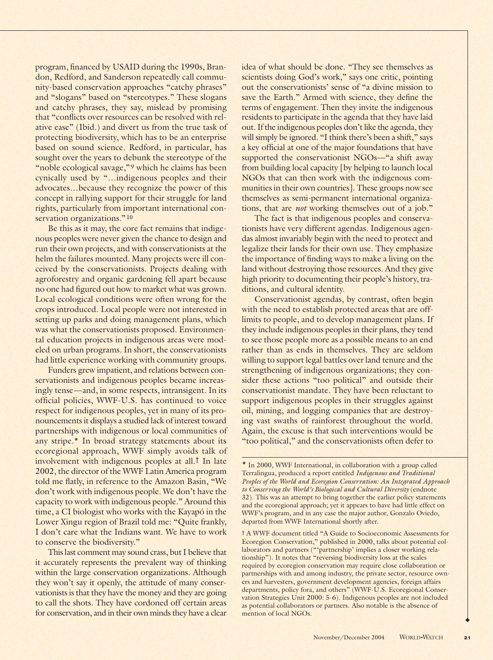program, financed by USAID during the 1990s, Brandon, Redford, and Sanderson repeatedly call community-based conservation approaches "catchy phrases" and "slogans" based on "stereotypes." These slogans and catchy phrases, they say, mislead by promising that "conflicts over resources can be resolved with relative ease" (Ibid.) and divert us from the true task of protecting biodiversity, which has to be an enterprise based on sound science. Redford, in particular, has sought over the years to debunk the stereotype of the "noble ecological savage,"<sup>9</sup> which he claims has been cynically used by "…indigenous peoples and their advocates…because they recognize the power of this concept in rallying support for their struggle for land rights, particularly from important international conservation organizations."<sup>10</sup>

Be this as it may, the core fact remains that indigenous peoples were never given the chance to design and run their own projects, and with conservationists at the helm the failures mounted. Many projects were ill conceived by the conservationists. Projects dealing with agroforestry and organic gardening fell apart because no one had figured out how to market what was grown. Local ecological conditions were often wrong for the crops introduced. Local people were not interested in setting up parks and doing management plans, which was what the conservationists proposed. Environmental education projects in indigenous areas were modeled on urban programs. In short, the conservationists had little experience working with community groups.

Funders grew impatient, and relations between conservationists and indigenous peoples became increasingly tense—and, in some respects, intransigent. In its official policies, WWF-U.S. has continued to voice respect for indigenous peoples, yet in many of its pronouncements it displays a studied lack of interest toward partnerships with indigenous or local communities of any stripe.\* In broad strategy statements about its ecoregional approach, WWF simply avoids talk of involvement with indigenous peoples at all.† In late 2002, the director of the WWF Latin America program told me flatly, in reference to the Amazon Basin, "We don't work with indigenous people. We don't have the capacity to work with indigenous people." Around this time, a CI biologist who works with the Kayapó in the Lower Xingu region of Brazil told me: "Quite frankly, I don't care what the Indians want. We have to work to conserve the biodiversity."

This last comment may sound crass, but I believe that it accurately represents the prevalent way of thinking within the large conservation organizations. Although they won't say it openly, the attitude of many conservationists is that they have the money and they are going to call the shots. They have cordoned off certain areas for conservation, and in their own minds they have a clear

idea of what should be done. "They see themselves as scientists doing God's work," says one critic, pointing out the conservationists' sense of "a divine mission to save the Earth." Armed with science, they define the terms of engagement. Then they invite the indigenous residents to participate in the agenda that they have laid out. If the indigenous peoples don't like the agenda, they will simply be ignored. "I think there's been a shift," says a key official at one of the major foundations that have supported the conservationist NGOs—"a shift away from building local capacity [by helping to launch local NGOs that can then work with the indigenous communities in their own countries]. These groups now see themselves as semi-permanent international organizations, that are *not* working themselves out of a job."

The fact is that indigenous peoples and conservationists have very different agendas. Indigenous agendas almost invariably begin with the need to protect and legalize their lands for their own use. They emphasize the importance of finding ways to make a living on the land without destroying those resources. And they give high priority to documenting their people's history, traditions, and cultural identity.

Conservationist agendas, by contrast, often begin with the need to establish protected areas that are offlimits to people, and to develop management plans. If they include indigenous peoples in their plans, they tend to see those people more as a possible means to an end rather than as ends in themselves. They are seldom willing to support legal battles over land tenure and the strengthening of indigenous organizations; they consider these actions "too political" and outside their conservationist mandate. They have been reluctant to support indigenous peoples in their struggles against oil, mining, and logging companies that are destroying vast swaths of rainforest throughout the world. Again, the excuse is that such interventions would be "too political," and the conservationists often defer to

<sup>\*</sup> In 2000, WWF International, in collaboration with a group called Terralingua, produced a report entitled *Indigenous and Traditional Peoples of the World and Ecoregion Conservation: An Integrated Approach to Conserving the World's Biological and Cultural Diversity* (endnote 32). This was an attempt to bring together the earlier policy statements and the ecoregional approach; yet it appears to have had little effect on WWF's program, and in any case the major author, Gonzalo Oviedo, departed from WWF International shortly after.

<sup>†</sup> A WWF document titled "A Guide to Socioeconomic Assessments for Ecoregion Conservation," published in 2000, talks about potential collaborators and partners ("'partnership' implies a closer working relationship"). It notes that "reversing biodiversity loss at the scales required by ecoregion conservation may require close collaboration or partnerships with and among industry, the private sector, resource owners and harvesters, government development agencies, foreign affairs departments, policy fora, and others" (WWF-U.S. Ecoregional Conservation Strategies Unit 2000: 5-6). Indigenous peoples are not included as potential collaborators or partners. Also notable is the absence of mention of local NGOs.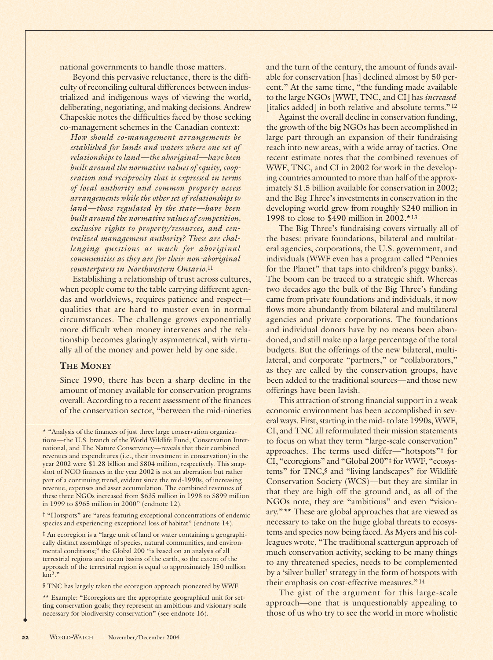national governments to handle those matters.

Beyond this pervasive reluctance, there is the difficulty of reconciling cultural differences between industrialized and indigenous ways of viewing the world, deliberating, negotiating, and making decisions. Andrew Chapeskie notes the difficulties faced by those seeking co-management schemes in the Canadian context:

*How should co-management arrangements be established for lands and waters where one set of relationships to land—the aboriginal—have been built around the normative values of equity, cooperation and reciprocity that is expressed in terms of local authority and common property access arrangements while the other set of relationships to land—those regulated by the state—have been built around the normative values of competition, exclusive rights to property/resources, and centralized management authority? These are challenging questions as much for aboriginal communities as they are for their non-aboriginal counterparts in Northwestern Ontario.*<sup>11</sup>

Establishing a relationship of trust across cultures, when people come to the table carrying different agendas and worldviews, requires patience and respect qualities that are hard to muster even in normal circumstances. The challenge grows exponentially more difficult when money intervenes and the relationship becomes glaringly asymmetrical, with virtually all of the money and power held by one side.

#### **THE MONEY**

Since 1990, there has been a sharp decline in the amount of money available for conservation programs overall. According to a recent assessment of the finances of the conservation sector, "between the mid-nineties

\* "Analysis of the finances of just three large conservation organizations—the U.S. branch of the World Wildlife Fund, Conservation International, and The Nature Conservancy—reveals that their combined revenues and expenditures (i.e., their investment in conservation) in the year 2002 were \$1.28 billion and \$804 million, respectively. This snapshot of NGO finances in the year 2002 is not an aberration but rather part of a continuing trend, evident since the mid-1990s, of increasing revenue, expenses and asset accumulation. The combined revenues of these three NGOs increased from \$635 million in 1998 to \$899 million in 1999 to \$965 million in 2000" (endnote 12).

† "Hotspots" are "areas featuring exceptional concentrations of endemic species and experiencing exceptional loss of habitat" (endnote 14).

‡ An ecoregion is a "large unit of land or water containing a geographically distinct assemblage of species, natural communities, and environmental conditions;" the Global 200 "is based on an analysis of all terrestrial regions and ocean basins of the earth, so the extent of the approach of the terrestrial region is equal to approximately 150 million  $km<sup>2</sup>$ ."

§ TNC has largely taken the ecoregion approach pioneered by WWF.

\*\* Example: "Ecoregions are the appropriate geographical unit for setting conservation goals; they represent an ambitious and visionary scale necessary for biodiversity conservation" (see endnote 16).

and the turn of the century, the amount of funds available for conservation [has] declined almost by 50 percent." At the same time, "the funding made available to the large NGOs [WWF, TNC, and CI] has *increased* [italics added] in both relative and absolute terms."<sup>12</sup>

Against the overall decline in conservation funding, the growth of the big NGOs has been accomplished in large part through an expansion of their fundraising reach into new areas, with a wide array of tactics. One recent estimate notes that the combined revenues of WWF, TNC, and CI in 2002 for work in the developing countries amounted to more than half of the approximately \$1.5 billion available for conservation in 2002; and the Big Three's investments in conservation in the developing world grew from roughly \$240 million in 1998 to close to \$490 million in 2002.\*13

The Big Three's fundraising covers virtually all of the bases: private foundations, bilateral and multilateral agencies, corporations, the U.S. government, and individuals (WWF even has a program called "Pennies for the Planet" that taps into children's piggy banks). The boom can be traced to a strategic shift. Whereas two decades ago the bulk of the Big Three's funding came from private foundations and individuals, it now flows more abundantly from bilateral and multilateral agencies and private corporations. The foundations and individual donors have by no means been abandoned, and still make up a large percentage of the total budgets. But the offerings of the new bilateral, multilateral, and corporate "partners," or "collaborators," as they are called by the conservation groups, have been added to the traditional sources—and those new offerings have been lavish.

This attraction of strong financial support in a weak economic environment has been accomplished in several ways. First, starting in the mid- to late 1990s, WWF, CI, and TNC all reformulated their mission statements to focus on what they term "large-scale conservation" approaches. The terms used differ—"hotspots"† for CI, "ecoregions" and "Global 200"‡ for WWF, "ecosystems" for TNC,§ and "living landscapes" for Wildlife Conservation Society (WCS)—but they are similar in that they are high off the ground and, as all of the NGOs note, they are "ambitious" and even "visionary."\*\* These are global approaches that are viewed as necessary to take on the huge global threats to ecosystems and species now being faced. As Myers and his colleagues wrote, "The traditional scattergun approach of much conservation activity, seeking to be many things to any threatened species, needs to be complemented by a 'silver bullet' strategy in the form of hotspots with their emphasis on cost-effective measures."14

The gist of the argument for this large-scale approach—one that is unquestionably appealing to those of us who try to see the world in more wholistic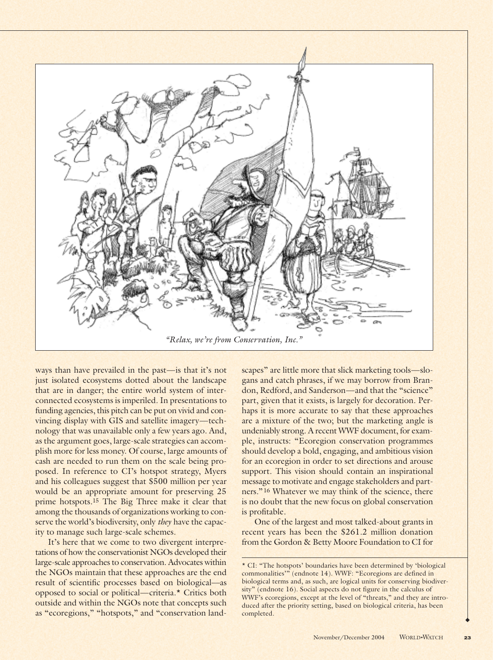

ways than have prevailed in the past—is that it's not just isolated ecosystems dotted about the landscape that are in danger; the entire world system of interconnected ecosystems is imperiled. In presentations to funding agencies, this pitch can be put on vivid and convincing display with GIS and satellite imagery—technology that was unavailable only a few years ago. And, as the argument goes, large-scale strategies can accomplish more for less money. Of course, large amounts of cash are needed to run them on the scale being proposed. In reference to CI's hotspot strategy, Myers and his colleagues suggest that \$500 million per year would be an appropriate amount for preserving 25 prime hotspots.15 The Big Three make it clear that among the thousands of organizations working to conserve the world's biodiversity, only *they* have the capacity to manage such large-scale schemes.

It's here that we come to two divergent interpretations of how the conservationist NGOs developed their large-scale approaches to conservation. Advocates within the NGOs maintain that these approaches are the end result of scientific processes based on biological—as opposed to social or political—criteria.\* Critics both outside and within the NGOs note that concepts such as "ecoregions," "hotspots," and "conservation landscapes" are little more that slick marketing tools—slogans and catch phrases, if we may borrow from Brandon, Redford, and Sanderson—and that the "science" part, given that it exists, is largely for decoration. Perhaps it is more accurate to say that these approaches are a mixture of the two; but the marketing angle is undeniably strong. A recent WWF document, for example, instructs: "Ecoregion conservation programmes should develop a bold, engaging, and ambitious vision for an ecoregion in order to set directions and arouse support. This vision should contain an inspirational message to motivate and engage stakeholders and partners." <sup>16</sup> Whatever we may think of the science, there is no doubt that the new focus on global conservation is profitable.

One of the largest and most talked-about grants in recent years has been the \$261.2 million donation from the Gordon & Betty Moore Foundation to CI for

<sup>\*</sup> CI: "The hotspots' boundaries have been determined by 'biological commonalities'" (endnote 14). WWF: "Ecoregions are defined in biological terms and, as such, are logical units for conserving biodiversity" (endnote 16). Social aspects do not figure in the calculus of WWF's ecoregions, except at the level of "threats," and they are introduced after the priority setting, based on biological criteria, has been completed.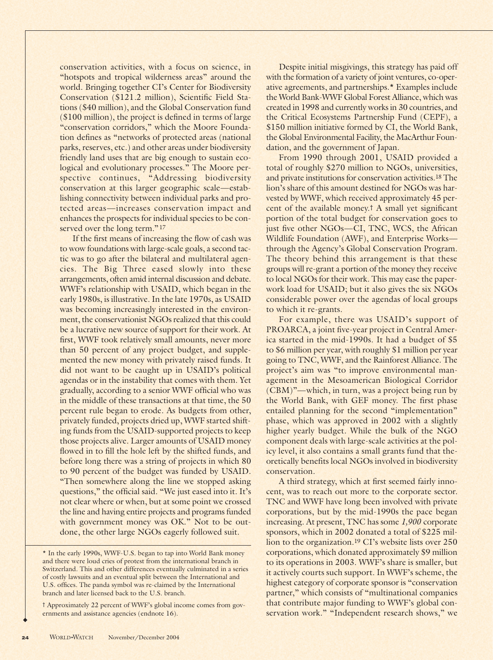conservation activities, with a focus on science, in "hotspots and tropical wilderness areas" around the world. Bringing together CI's Center for Biodiversity Conservation (\$121.2 million), Scientific Field Stations (\$40 million), and the Global Conservation fund (\$100 million), the project is defined in terms of large "conservation corridors," which the Moore Foundation defines as "networks of protected areas (national parks, reserves, etc.) and other areas under biodiversity friendly land uses that are big enough to sustain ecological and evolutionary processes." The Moore perspective continues, "Addressing biodiversity conservation at this larger geographic scale—establishing connectivity between individual parks and protected areas—increases conservation impact and enhances the prospects for individual species to be conserved over the long term."<sup>17</sup>

If the first means of increasing the flow of cash was to wow foundations with large-scale goals, a second tactic was to go after the bilateral and multilateral agencies. The Big Three eased slowly into these arrangements, often amid internal discussion and debate. WWF's relationship with USAID, which began in the early 1980s, is illustrative. In the late 1970s, as USAID was becoming increasingly interested in the environment, the conservationist NGOs realized that this could be a lucrative new source of support for their work. At first, WWF took relatively small amounts, never more than 50 percent of any project budget, and supplemented the new money with privately raised funds. It did not want to be caught up in USAID's political agendas or in the instability that comes with them. Yet gradually, according to a senior WWF official who was in the middle of these transactions at that time, the 50 percent rule began to erode. As budgets from other, privately funded, projects dried up, WWF started shifting funds from the USAID-supported projects to keep those projects alive. Larger amounts of USAID money flowed in to fill the hole left by the shifted funds, and before long there was a string of projects in which 80 to 90 percent of the budget was funded by USAID. "Then somewhere along the line we stopped asking questions," the official said. "We just eased into it. It's not clear where or when, but at some point we crossed the line and having entire projects and programs funded with government money was OK." Not to be outdone, the other large NGOs eagerly followed suit.

Despite initial misgivings, this strategy has paid off with the formation of a variety of joint ventures, co-operative agreements, and partnerships.\* Examples include the World Bank-WWF Global Forest Alliance, which was created in 1998 and currently works in 30 countries, and the Critical Ecosystems Partnership Fund (CEPF), a \$150 million initiative formed by CI, the World Bank, the Global Environmental Facility, the MacArthur Foundation, and the government of Japan.

From 1990 through 2001, USAID provided a total of roughly \$270 million to NGOs, universities, and private institutions for conservation activities.18 The lion's share of this amount destined for NGOs was harvested by WWF, which received approximately 45 percent of the available money.† A small yet significant portion of the total budget for conservation goes to just five other NGOs—CI, TNC, WCS, the African Wildlife Foundation (AWF), and Enterprise Works through the Agency's Global Conservation Program. The theory behind this arrangement is that these groups will re-grant a portion of the money they receive to local NGOs for their work. This may ease the paperwork load for USAID; but it also gives the six NGOs considerable power over the agendas of local groups to which it re-grants.

For example, there was USAID's support of PROARCA, a joint five-year project in Central America started in the mid-1990s. It had a budget of \$5 to \$6 million per year, with roughly \$1 million per year going to TNC, WWF, and the Rainforest Alliance. The project's aim was "to improve environmental management in the Mesoamerican Biological Corridor (CBM)"—which, in turn, was a project being run by the World Bank, with GEF money. The first phase entailed planning for the second "implementation" phase, which was approved in 2002 with a slightly higher yearly budget. While the bulk of the NGO component deals with large-scale activities at the policy level, it also contains a small grants fund that theoretically benefits local NGOs involved in biodiversity conservation.

A third strategy, which at first seemed fairly innocent, was to reach out more to the corporate sector. TNC and WWF have long been involved with private corporations, but by the mid-1990s the pace began increasing. At present, TNC has some *1,900* corporate sponsors, which in 2002 donated a total of \$225 million to the organization.<sup>19</sup> CI's website lists over 250 corporations, which donated approximately \$9 million to its operations in 2003. WWF's share is smaller, but it actively courts such support. In WWF's scheme, the highest category of corporate sponsor is "conservation partner," which consists of "multinational companies" that contribute major funding to WWF's global conservation work." "Independent research shows," we

<sup>\*</sup> In the early 1990s, WWF-U.S. began to tap into World Bank money and there were loud cries of protest from the international branch in Switzerland. This and other differences eventually culminated in a series of costly lawsuits and an eventual split between the International and U.S. offices. The panda symbol was re-claimed by the International branch and later licensed back to the U.S. branch.

<sup>†</sup> Approximately 22 percent of WWF's global income comes from governments and assistance agencies (endnote 16).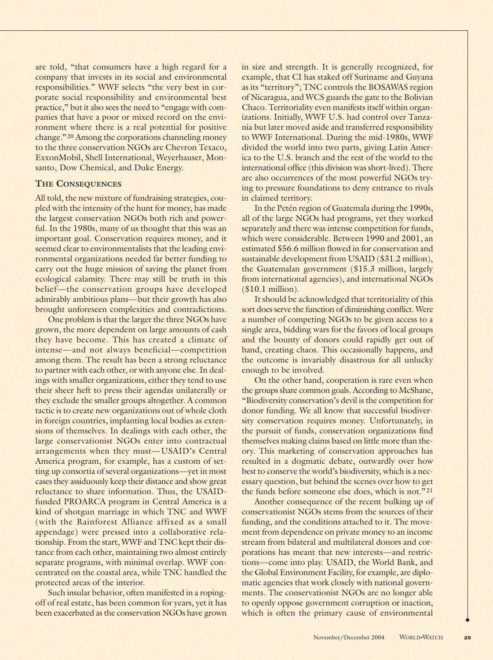are told, "that consumers have a high regard for a company that invests in its social and environmental responsibilities." WWF selects "the very best in corporate social responsibility and environmental best practice," but it also sees the need to "engage with companies that have a poor or mixed record on the environment where there is a real potential for positive change."20 Among the corporations channeling money to the three conservation NGOs are Chevron Texaco, ExxonMobil, Shell International, Weyerhauser, Monsanto, Dow Chemical, and Duke Energy.

#### **THE CONSEQUENCES**

All told, the new mixture of fundraising strategies, coupled with the intensity of the hunt for money, has made the largest conservation NGOs both rich and powerful. In the 1980s, many of us thought that this was an important goal. Conservation requires money, and it seemed clear to environmentalists that the leading environmental organizations needed far better funding to carry out the huge mission of saving the planet from ecological calamity. There may still be truth in this belief—the conservation groups have developed admirably ambitious plans—but their growth has also brought unforeseen complexities and contradictions.

One problem is that the larger the three NGOs have grown, the more dependent on large amounts of cash they have become. This has created a climate of intense—and not always beneficial—competition among them. The result has been a strong reluctance to partner with each other, or with anyone else. In dealings with smaller organizations, either they tend to use their sheer heft to press their agendas unilaterally or they exclude the smaller groups altogether. A common tactic is to create new organizations out of whole cloth in foreign countries, implanting local bodies as extensions of themselves. In dealings with each other, the large conservationist NGOs enter into contractual arrangements when they must—USAID's Central America program, for example, has a custom of setting up consortia of several organizations—yet in most cases they assiduously keep their distance and show great reluctance to share information. Thus, the USAIDfunded PROARCA program in Central America is a kind of shotgun marriage in which TNC and WWF (with the Rainforest Alliance affixed as a small appendage) were pressed into a collaborative relationship. From the start, WWF and TNC kept their distance from each other, maintaining two almost entirely separate programs, with minimal overlap. WWF concentrated on the coastal area, while TNC handled the protected areas of the interior.

Such insular behavior, often manifested in a ropingoff of real estate, has been common for years, yet it has been exacerbated as the conservation NGOs have grown in size and strength. It is generally recognized, for example, that CI has staked off Suriname and Guyana as its "territory"; TNC controls the BOSAWAS region of Nicaragua, and WCS guards the gate to the Bolivian Chaco. Territoriality even manifests itself within organizations. Initially, WWF U.S. had control over Tanzania but later moved aside and transferred responsibility to WWF International. During the mid-1980s, WWF divided the world into two parts, giving Latin America to the U.S. branch and the rest of the world to the international office (this division was short-lived). There are also occurrences of the most powerful NGOs trying to pressure foundations to deny entrance to rivals in claimed territory.

In the Petén region of Guatemala during the 1990s, all of the large NGOs had programs, yet they worked separately and there was intense competition for funds, which were considerable. Between 1990 and 2001, an estimated \$56.6 million flowed in for conservation and sustainable development from USAID (\$31.2 million), the Guatemalan government (\$15.3 million, largely from international agencies), and international NGOs (\$10.1 million).

It should be acknowledged that territoriality of this sort does serve the function of diminishing conflict. Were a number of competing NGOs to be given access to a single area, bidding wars for the favors of local groups and the bounty of donors could rapidly get out of hand, creating chaos. This occasionally happens, and the outcome is invariably disastrous for all unlucky enough to be involved.

On the other hand, cooperation is rare even when the groups share common goals. According to McShane, "Biodiversity conservation's devil is the competition for donor funding. We all know that successful biodiversity conservation requires money. Unfortunately, in the pursuit of funds, conservation organizations find themselves making claims based on little more than theory. This marketing of conservation approaches has resulted in a dogmatic debate, outwardly over how best to conserve the world's biodiversity, which is a necessary question, but behind the scenes over how to get the funds before someone else does, which is not."21

Another consequence of the recent bulking up of conservationist NGOs stems from the sources of their funding, and the conditions attached to it. The movement from dependence on private money to an income stream from bilateral and multilateral donors and corporations has meant that new interests—and restrictions—come into play. USAID, the World Bank, and the Global Environment Facility, for example, are diplomatic agencies that work closely with national governments. The conservationist NGOs are no longer able to openly oppose government corruption or inaction, which is often the primary cause of environmental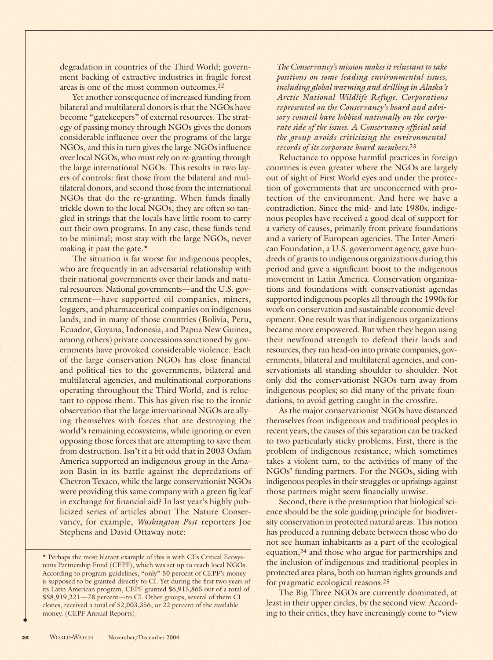degradation in countries of the Third World; government backing of extractive industries in fragile forest areas is one of the most common outcomes.22

Yet another consequence of increased funding from bilateral and multilateral donors is that the NGOs have become "gatekeepers" of external resources. The strategy of passing money through NGOs gives the donors considerable influence over the programs of the large NGOs, and this in turn gives the large NGOs influence over local NGOs, who must rely on re-granting through the large international NGOs. This results in two layers of controls: first those from the bilateral and multilateral donors, and second those from the international NGOs that do the re-granting. When funds finally trickle down to the local NGOs, they are often so tangled in strings that the locals have little room to carry out their own programs. In any case, these funds tend to be minimal; most stay with the large NGOs, never making it past the gate.\*

The situation is far worse for indigenous peoples, who are frequently in an adversarial relationship with their national governments over their lands and natural resources. National governments—and the U.S. government—have supported oil companies, miners, loggers, and pharmaceutical companies on indigenous lands, and in many of those countries (Bolivia, Peru, Ecuador, Guyana, Indonesia, and Papua New Guinea, among others) private concessions sanctioned by governments have provoked considerable violence. Each of the large conservation NGOs has close financial and political ties to the governments, bilateral and multilateral agencies, and multinational corporations operating throughout the Third World, and is reluctant to oppose them. This has given rise to the ironic observation that the large international NGOs are allying themselves with forces that are destroying the world's remaining ecosystems, while ignoring or even opposing those forces that are attempting to save them from destruction. Isn't it a bit odd that in 2003 Oxfam America supported an indigenous group in the Amazon Basin in its battle against the depredations of Chevron Texaco, while the large conservationist NGOs were providing this same company with a green fig leaf in exchange for financial aid? In last year's highly publicized series of articles about The Nature Conservancy, for example, *Washington Post* reporters Joe Stephens and David Ottaway note:

*The Conservancy's mission makes it reluctant to take positions on some leading environmental issues, including global warming and drilling in Alaska's Arctic National Wildlife Refuge. Corporations represented on the Conservancy's board and advisory council have lobbied nationally on the corporate side of the issues. A Conservancy official said the group avoids criticizing the environmental records of its corporate board members.*<sup>23</sup>

Reluctance to oppose harmful practices in foreign countries is even greater where the NGOs are largely out of sight of First World eyes and under the protection of governments that are unconcerned with protection of the environment. And here we have a contradiction. Since the mid- and late 1980s, indigenous peoples have received a good deal of support for a variety of causes, primarily from private foundations and a variety of European agencies. The Inter-American Foundation, a U.S. government agency, gave hundreds of grants to indigenous organizations during this period and gave a significant boost to the indigenous movement in Latin America. Conservation organizations and foundations with conservationist agendas supported indigenous peoples all through the 1990s for work on conservation and sustainable economic development. One result was that indigenous organizations became more empowered. But when they began using their newfound strength to defend their lands and resources, they ran head-on into private companies, governments, bilateral and multilateral agencies, and conservationists all standing shoulder to shoulder. Not only did the conservationist NGOs turn away from indigenous peoples; so did many of the private foundations, to avoid getting caught in the crossfire.

As the major conservationist NGOs have distanced themselves from indigenous and traditional peoples in recent years, the causes of this separation can be tracked to two particularly sticky problems. First, there is the problem of indigenous resistance, which sometimes takes a violent turn, to the activities of many of the NGOs' funding partners. For the NGOs, siding with indigenous peoples in their struggles or uprisings against those partners might seem financially unwise.

Second, there is the presumption that biological science should be the sole guiding principle for biodiversity conservation in protected natural areas. This notion has produced a running debate between those who do not see human inhabitants as a part of the ecological equation,24 and those who argue for partnerships and the inclusion of indigenous and traditional peoples in protected area plans, both on human rights grounds and for pragmatic ecological reasons.25

The Big Three NGOs are currently dominated, at least in their upper circles, by the second view. According to their critics, they have increasingly come to "view

<sup>\*</sup> Perhaps the most blatant example of this is with CI's Critical Ecosystems Partnership Fund (CEPF), which was set up to reach local NGOs. According to program guidelines, "only" 50 percent of CEPF's money is supposed to be granted directly to CI. Yet during the first two years of its Latin American program, CEPF granted \$6,915,865 out of a total of \$\$8,919,221—78 percent—to CI. Other groups, several of them CI clones, received a total of \$2,003,356, or 22 percent of the available money. (CEPF Annual Reports)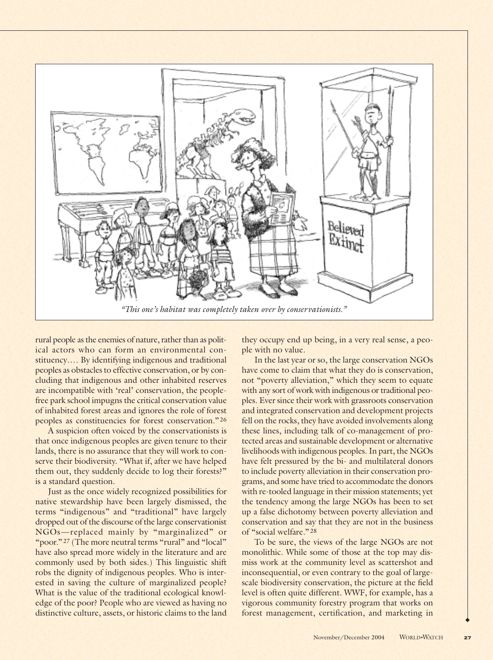

rural people as the enemies of nature, rather than as political actors who can form an environmental constituency…. By identifying indigenous and traditional peoples as obstacles to effective conservation, or by concluding that indigenous and other inhabited reserves are incompatible with 'real' conservation, the peoplefree park school impugns the critical conservation value of inhabited forest areas and ignores the role of forest peoples as constituencies for forest conservation."26

A suspicion often voiced by the conservationists is that once indigenous peoples are given tenure to their lands, there is no assurance that they will work to conserve their biodiversity. "What if, after we have helped them out, they suddenly decide to log their forests?" is a standard question.

Just as the once widely recognized possibilities for native stewardship have been largely dismissed, the terms "indigenous" and "traditional" have largely dropped out of the discourse of the large conservationist NGOs—replaced mainly by "marginalized" or "poor."27 (The more neutral terms "rural" and "local" have also spread more widely in the literature and are commonly used by both sides.) This linguistic shift robs the dignity of indigenous peoples. Who is interested in saving the culture of marginalized people? What is the value of the traditional ecological knowledge of the poor? People who are viewed as having no distinctive culture, assets, or historic claims to the land

they occupy end up being, in a very real sense, a people with no value.

In the last year or so, the large conservation NGOs have come to claim that what they do is conservation, not "poverty alleviation," which they seem to equate with any sort of work with indigenous or traditional peoples. Ever since their work with grassroots conservation and integrated conservation and development projects fell on the rocks, they have avoided involvements along these lines, including talk of co-management of protected areas and sustainable development or alternative livelihoods with indigenous peoples. In part, the NGOs have felt pressured by the bi- and multilateral donors to include poverty alleviation in their conservation programs, and some have tried to accommodate the donors with re-tooled language in their mission statements; yet the tendency among the large NGOs has been to set up a false dichotomy between poverty alleviation and conservation and say that they are not in the business of "social welfare."28

To be sure, the views of the large NGOs are not monolithic. While some of those at the top may dismiss work at the community level as scattershot and inconsequential, or even contrary to the goal of largescale biodiversity conservation, the picture at the field level is often quite different. WWF, for example, has a vigorous community forestry program that works on forest management, certification, and marketing in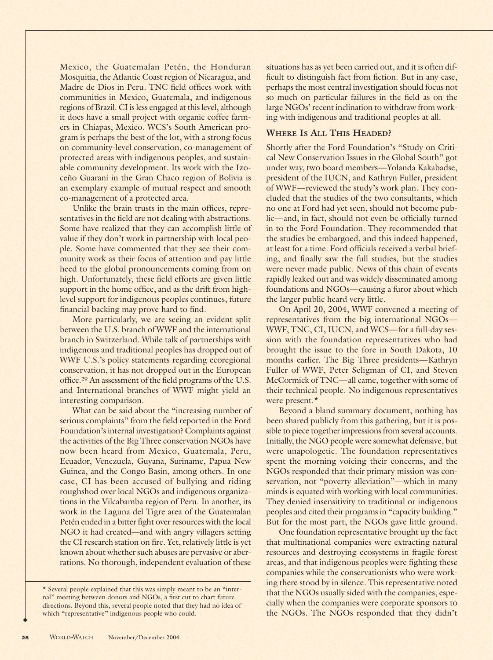Mexico, the Guatemalan Petén, the Honduran Mosquitia, the Atlantic Coast region of Nicaragua, and Madre de Dios in Peru. TNC field offices work with communities in Mexico, Guatemala, and indigenous regions of Brazil. CI is less engaged at this level, although it does have a small project with organic coffee farmers in Chiapas, Mexico. WCS's South American program is perhaps the best of the lot, with a strong focus on community-level conservation, co-management of protected areas with indigenous peoples, and sustainable community development. Its work with the Izoceño Guaraní in the Gran Chaco region of Bolivia is an exemplary example of mutual respect and smooth co-management of a protected area.

Unlike the brain trusts in the main offices, representatives in the field are not dealing with abstractions. Some have realized that they can accomplish little of value if they don't work in partnership with local people. Some have commented that they see their community work as their focus of attention and pay little heed to the global pronouncements coming from on high. Unfortunately, these field efforts are given little support in the home office, and as the drift from highlevel support for indigenous peoples continues, future financial backing may prove hard to find.

More particularly, we are seeing an evident split between the U.S. branch of WWF and the international branch in Switzerland. While talk of partnerships with indigenous and traditional peoples has dropped out of WWF U.S.'s policy statements regarding ecoregional conservation, it has not dropped out in the European office.29 An assessment of the field programs of the U.S. and International branches of WWF might yield an interesting comparison.

What can be said about the "increasing number of serious complaints" from the field reported in the Ford Foundation's internal investigation? Complaints against the activities of the Big Three conservation NGOs have now been heard from Mexico, Guatemala, Peru, Ecuador, Venezuela, Guyana, Suriname, Papua New Guinea, and the Congo Basin, among others. In one case, CI has been accused of bullying and riding roughshod over local NGOs and indigenous organizations in the Vilcabamba region of Peru. In another, its work in the Laguna del Tigre area of the Guatemalan Petén ended in a bitter fight over resources with the local NGO it had created—and with angry villagers setting the CI research station on fire. Yet, relatively little is yet known about whether such abuses are pervasive or aberrations. No thorough, independent evaluation of these

situations has as yet been carried out, and it is often difficult to distinguish fact from fiction. But in any case, perhaps the most central investigation should focus not so much on particular failures in the field as on the large NGOs' recent inclination to withdraw from working with indigenous and traditional peoples at all.

#### **WHERE IS ALL THIS HEADED?**

Shortly after the Ford Foundation's "Study on Critical New Conservation Issues in the Global South" got under way, two board members—Yolanda Kakabadse, president of the IUCN, and Kathryn Fuller, president of WWF—reviewed the study's work plan. They concluded that the studies of the two consultants, which no one at Ford had yet seen, should not become public—and, in fact, should not even be officially turned in to the Ford Foundation. They recommended that the studies be embargoed, and this indeed happened, at least for a time. Ford officials received a verbal briefing, and finally saw the full studies, but the studies were never made public. News of this chain of events rapidly leaked out and was widely disseminated among foundations and NGOs—causing a furor about which the larger public heard very little.

On April 20, 2004, WWF convened a meeting of representatives from the big international NGOs— WWF, TNC, CI, IUCN, and WCS—for a full-day session with the foundation representatives who had brought the issue to the fore in South Dakota, 10 months earlier. The Big Three presidents—Kathryn Fuller of WWF, Peter Seligman of CI, and Steven McCormick of TNC—all came, together with some of their technical people. No indigenous representatives were present.\*

Beyond a bland summary document, nothing has been shared publicly from this gathering, but it is possible to piece together impressions from several accounts. Initially, the NGO people were somewhat defensive, but were unapologetic. The foundation representatives spent the morning voicing their concerns, and the NGOs responded that their primary mission was conservation, not "poverty alleviation"—which in many minds is equated with working with local communities. They denied insensitivity to traditional or indigenous peoples and cited their programs in "capacity building." But for the most part, the NGOs gave little ground.

One foundation representative brought up the fact that multinational companies were extracting natural resources and destroying ecosystems in fragile forest areas, and that indigenous peoples were fighting these companies while the conservationists who were working there stood by in silence. This representative noted that the NGOs usually sided with the companies, especially when the companies were corporate sponsors to the NGOs. The NGOs responded that they didn't

<sup>\*</sup> Several people explained that this was simply meant to be an "internal" meeting between donors and NGOs, a first cut to chart future directions. Beyond this, several people noted that they had no idea of which "representative" indigenous people who could.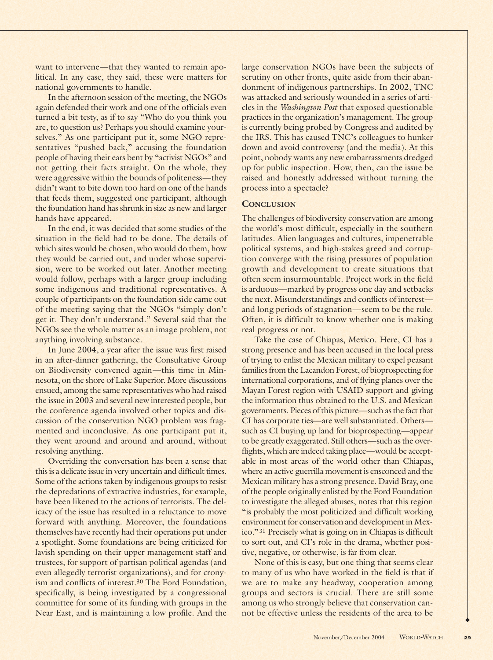want to intervene—that they wanted to remain apolitical. In any case, they said, these were matters for national governments to handle.

In the afternoon session of the meeting, the NGOs again defended their work and one of the officials even turned a bit testy, as if to say "Who do you think you are, to question us? Perhaps you should examine yourselves." As one participant put it, some NGO representatives "pushed back," accusing the foundation people of having their ears bent by "activist NGOs" and not getting their facts straight. On the whole, they were aggressive within the bounds of politeness—they didn't want to bite down too hard on one of the hands that feeds them, suggested one participant, although the foundation hand has shrunk in size as new and larger hands have appeared.

In the end, it was decided that some studies of the situation in the field had to be done. The details of which sites would be chosen, who would do them, how they would be carried out, and under whose supervision, were to be worked out later. Another meeting would follow, perhaps with a larger group including some indigenous and traditional representatives. A couple of participants on the foundation side came out of the meeting saying that the NGOs "simply don't get it. They don't understand." Several said that the NGOs see the whole matter as an image problem, not anything involving substance.

In June 2004, a year after the issue was first raised in an after-dinner gathering, the Consultative Group on Biodiversity convened again—this time in Minnesota, on the shore of Lake Superior. More discussions ensued, among the same representatives who had raised the issue in 2003 and several new interested people, but the conference agenda involved other topics and discussion of the conservation NGO problem was fragmented and inconclusive. As one participant put it, they went around and around and around, without resolving anything.

Overriding the conversation has been a sense that this is a delicate issue in very uncertain and difficult times. Some of the actions taken by indigenous groups to resist the depredations of extractive industries, for example, have been likened to the actions of terrorists. The delicacy of the issue has resulted in a reluctance to move forward with anything. Moreover, the foundations themselves have recently had their operations put under a spotlight. Some foundations are being criticized for lavish spending on their upper management staff and trustees, for support of partisan political agendas (and even allegedly terrorist organizations), and for cronyism and conflicts of interest.<sup>30</sup> The Ford Foundation, specifically, is being investigated by a congressional committee for some of its funding with groups in the Near East, and is maintaining a low profile. And the

large conservation NGOs have been the subjects of scrutiny on other fronts, quite aside from their abandonment of indigenous partnerships. In 2002, TNC was attacked and seriously wounded in a series of articles in the *Washington Post* that exposed questionable practices in the organization's management. The group is currently being probed by Congress and audited by the IRS. This has caused TNC's colleagues to hunker down and avoid controversy (and the media). At this point, nobody wants any new embarrassments dredged up for public inspection. How, then, can the issue be raised and honestly addressed without turning the process into a spectacle?

#### **CONCLUSION**

The challenges of biodiversity conservation are among the world's most difficult, especially in the southern latitudes. Alien languages and cultures, impenetrable political systems, and high-stakes greed and corruption converge with the rising pressures of population growth and development to create situations that often seem insurmountable. Project work in the field is arduous—marked by progress one day and setbacks the next. Misunderstandings and conflicts of interest and long periods of stagnation—seem to be the rule. Often, it is difficult to know whether one is making real progress or not.

Take the case of Chiapas, Mexico. Here, CI has a strong presence and has been accused in the local press of trying to enlist the Mexican military to expel peasant families from the Lacandon Forest, of bioprospecting for international corporations, and of flying planes over the Mayan Forest region with USAID support and giving the information thus obtained to the U.S. and Mexican governments. Pieces of this picture—such as the fact that CI has corporate ties—are well substantiated. Others such as CI buying up land for bioprospecting—appear to be greatly exaggerated. Still others—such as the overflights, which are indeed taking place—would be acceptable in most areas of the world other than Chiapas, where an active guerrilla movement is ensconced and the Mexican military has a strong presence. David Bray, one of the people originally enlisted by the Ford Foundation to investigate the alleged abuses, notes that this region "is probably the most politicized and difficult working environment for conservation and development in Mexico."31 Precisely what is going on in Chiapas is difficult to sort out, and CI's role in the drama, whether positive, negative, or otherwise, is far from clear.

None of this is easy, but one thing that seems clear to many of us who have worked in the field is that if we are to make any headway, cooperation among groups and sectors is crucial. There are still some among us who strongly believe that conservation cannot be effective unless the residents of the area to be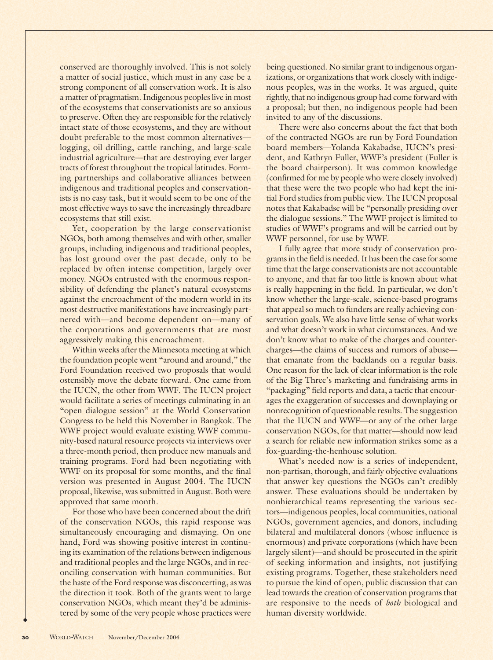conserved are thoroughly involved. This is not solely a matter of social justice, which must in any case be a strong component of all conservation work. It is also a matter of pragmatism. Indigenous peoples live in most of the ecosystems that conservationists are so anxious to preserve. Often they are responsible for the relatively intact state of those ecosystems, and they are without doubt preferable to the most common alternatives logging, oil drilling, cattle ranching, and large-scale industrial agriculture—that are destroying ever larger tracts of forest throughout the tropical latitudes. Forming partnerships and collaborative alliances between indigenous and traditional peoples and conservationists is no easy task, but it would seem to be one of the most effective ways to save the increasingly threadbare ecosystems that still exist.

Yet, cooperation by the large conservationist NGOs, both among themselves and with other, smaller groups, including indigenous and traditional peoples, has lost ground over the past decade, only to be replaced by often intense competition, largely over money. NGOs entrusted with the enormous responsibility of defending the planet's natural ecosystems against the encroachment of the modern world in its most destructive manifestations have increasingly partnered with—and become dependent on—many of the corporations and governments that are most aggressively making this encroachment.

Within weeks after the Minnesota meeting at which the foundation people went "around and around," the Ford Foundation received two proposals that would ostensibly move the debate forward. One came from the IUCN, the other from WWF. The IUCN project would facilitate a series of meetings culminating in an "open dialogue session" at the World Conservation Congress to be held this November in Bangkok. The WWF project would evaluate existing WWF community-based natural resource projects via interviews over a three-month period, then produce new manuals and training programs. Ford had been negotiating with WWF on its proposal for some months, and the final version was presented in August 2004. The IUCN proposal, likewise, was submitted in August. Both were approved that same month.

For those who have been concerned about the drift of the conservation NGOs, this rapid response was simultaneously encouraging and dismaying. On one hand, Ford was showing positive interest in continuing its examination of the relations between indigenous and traditional peoples and the large NGOs, and in reconciling conservation with human communities. But the haste of the Ford response was disconcerting, as was the direction it took. Both of the grants went to large conservation NGOs, which meant they'd be administered by some of the very people whose practices were

being questioned. No similar grant to indigenous organizations, or organizations that work closely with indigenous peoples, was in the works. It was argued, quite rightly, that no indigenous group had come forward with a proposal; but then, no indigenous people had been invited to any of the discussions.

There were also concerns about the fact that both of the contracted NGOs are run by Ford Foundation board members—Yolanda Kakabadse, IUCN's president, and Kathryn Fuller, WWF's president (Fuller is the board chairperson). It was common knowledge (confirmed for me by people who were closely involved) that these were the two people who had kept the initial Ford studies from public view. The IUCN proposal notes that Kakabadse will be "personally presiding over the dialogue sessions." The WWF project is limited to studies of WWF's programs and will be carried out by WWF personnel, for use by WWF.

I fully agree that more study of conservation programs in the field is needed. It has been the case for some time that the large conservationists are not accountable to anyone, and that far too little is known about what is really happening in the field. In particular, we don't know whether the large-scale, science-based programs that appeal so much to funders are really achieving conservation goals. We also have little sense of what works and what doesn't work in what circumstances. And we don't know what to make of the charges and countercharges—the claims of success and rumors of abuse that emanate from the backlands on a regular basis. One reason for the lack of clear information is the role of the Big Three's marketing and fundraising arms in "packaging" field reports and data, a tactic that encourages the exaggeration of successes and downplaying or nonrecognition of questionable results. The suggestion that the IUCN and WWF—or any of the other large conservation NGOs, for that matter—should now lead a search for reliable new information strikes some as a fox-guarding-the-henhouse solution.

What's needed now is a series of independent, non-partisan, thorough, and fairly objective evaluations that answer key questions the NGOs can't credibly answer. These evaluations should be undertaken by nonhierarchical teams representing the various sectors—indigenous peoples, local communities, national NGOs, government agencies, and donors, including bilateral and multilateral donors (whose influence is enormous) and private corporations (which have been largely silent)—and should be prosecuted in the spirit of seeking information and insights, not justifying existing programs. Together, these stakeholders need to pursue the kind of open, public discussion that can lead towards the creation of conservation programs that are responsive to the needs of *both* biological and human diversity worldwide.